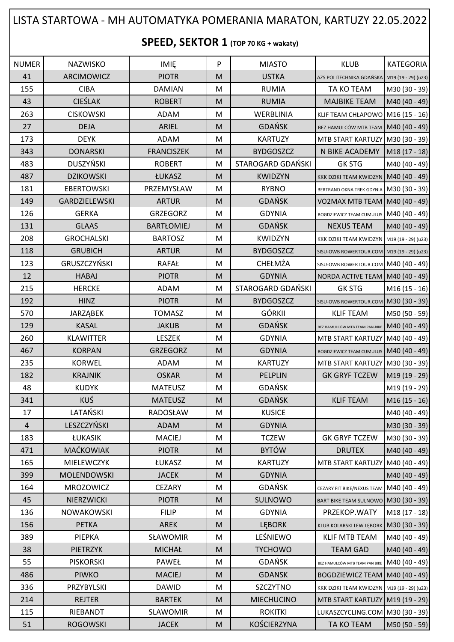## LISTA STARTOWA - MH AUTOMATYKA POMERANIA MARATON, KARTUZY 22.05.2022

## **SPEED, SEKTOR 1 (TOP 70 KG + wakaty)**

| <b>NUMER</b>   | NAZWISKO             | IMIĘ              | P | <b>MIASTO</b>            | <b>KLUB</b>                                    | KATEGORIA     |
|----------------|----------------------|-------------------|---|--------------------------|------------------------------------------------|---------------|
| 41             | ARCIMOWICZ           | <b>PIOTR</b>      | M | <b>USTKA</b>             | AZS POLITECHNIKA GDAŃSKA M19 (19 - 29) (u23)   |               |
| 155            | <b>CIBA</b>          | <b>DAMIAN</b>     | M | <b>RUMIA</b>             | TA KO TEAM                                     | M30 (30 - 39) |
| 43             | <b>CIEŚLAK</b>       | <b>ROBERT</b>     | M | <b>RUMIA</b>             | <b>MAJBIKE TEAM</b>                            | M40 (40 - 49) |
| 263            | <b>CISKOWSKI</b>     | ADAM              | M | WERBLINIA                | KLIF TEAM CHŁAPOWO M16 (15 - 16)               |               |
| 27             | <b>DEJA</b>          | ARIEL             | M | <b>GDAŃSK</b>            | BEZ HAMULCÓW MTB TEAM   M40 (40 - 49)          |               |
| 173            | <b>DEYK</b>          | <b>ADAM</b>       | M | <b>KARTUZY</b>           | MTB START KARTUZY M30 (30 - 39)                |               |
| 343            | <b>DONARSKI</b>      | <b>FRANCISZEK</b> | M | <b>BYDGOSZCZ</b>         | N BIKE ACADEMY                                 | M18 (17 - 18) |
| 483            | <b>DUSZYŃSKI</b>     | <b>ROBERT</b>     | M | STAROGARD GDAŃSKI        | <b>GK STG</b>                                  | M40 (40 - 49) |
| 487            | <b>DZIKOWSKI</b>     | ŁUKASZ            | M | <b>KWIDZYN</b>           | KKK DZIKI TEAM KWIDZYN M40 (40 - 49)           |               |
| 181            | <b>EBERTOWSKI</b>    | PRZEMYSŁAW        | M | <b>RYBNO</b>             | BERTRAND OKNA TREK GDYNIA M30 (30 - 39)        |               |
| 149            | <b>GARDZIELEWSKI</b> | <b>ARTUR</b>      | M | <b>GDAŃSK</b>            | VO2MAX MTB TEAM   M40 (40 - 49)                |               |
| 126            | <b>GERKA</b>         | GRZEGORZ          | M | <b>GDYNIA</b>            | BOGDZIEWICZ TEAM CUMULUS M40 (40 - 49)         |               |
| 131            | <b>GLAAS</b>         | <b>BARTŁOMIEJ</b> | M | <b>GDAŃSK</b>            | <b>NEXUS TEAM</b>                              | M40 (40 - 49) |
| 208            | <b>GROCHALSKI</b>    | <b>BARTOSZ</b>    | M | KWIDZYN                  | KKK DZIKI TEAM KWIDZYN M19 (19 - 29) (u23)     |               |
| 118            | <b>GRUBICH</b>       | <b>ARTUR</b>      | M | <b>BYDGOSZCZ</b>         | SISU-OWB ROWERTOUR.COM M19 (19 - 29) (u23)     |               |
| 123            | GRUSZCZYŃSKI         | <b>RAFAŁ</b>      | M | CHEŁMŻA                  | SISU-OWB ROWERTOUR.COM M40 (40 - 49)           |               |
| 12             | <b>HABAJ</b>         | <b>PIOTR</b>      | M | <b>GDYNIA</b>            | NORDA ACTIVE TEAM   M40 (40 - 49)              |               |
| 215            | <b>HERCKE</b>        | ADAM              | M | <b>STAROGARD GDAŃSKI</b> | <b>GK STG</b>                                  | M16 (15 - 16) |
| 192            | <b>HINZ</b>          | <b>PIOTR</b>      | M | <b>BYDGOSZCZ</b>         | SISU-OWB ROWERTOUR.COM M30 (30 - 39)           |               |
| 570            | <b>JARZĄBEK</b>      | <b>TOMASZ</b>     | M | <b>GÓRKII</b>            | <b>KLIF TEAM</b>                               | M50 (50 - 59) |
| 129            | <b>KASAL</b>         | <b>JAKUB</b>      | M | <b>GDAŃSK</b>            | BEZ HAMULCÓW MTB TEAM PAN-BIKE   M40 (40 - 49) |               |
| 260            | KLAWITTER            | LESZEK            | M | <b>GDYNIA</b>            | MTB START KARTUZY M40 (40 - 49)                |               |
| 467            | <b>KORPAN</b>        | <b>GRZEGORZ</b>   | M | <b>GDYNIA</b>            | BOGDZIEWICZ TEAM CUMULUS M40 (40 - 49)         |               |
| 235            | KORWEL               | ADAM              | M | <b>KARTUZY</b>           | MTB START KARTUZY M30 (30 - 39)                |               |
| 182            | <b>KRAJNIK</b>       | <b>OSKAR</b>      | M | <b>PELPLIN</b>           | <b>GK GRYF TCZEW</b>                           | M19 (19 - 29) |
| 48             | <b>KUDYK</b>         | <b>MATEUSZ</b>    | M | <b>GDAŃSK</b>            |                                                | M19 (19 - 29) |
| 341            | <b>KUŚ</b>           | <b>MATEUSZ</b>    | M | <b>GDAŃSK</b>            | <b>KLIF TEAM</b>                               | $M16(15-16)$  |
| 17             | LATAŃSKI             | RADOSŁAW          | M | <b>KUSICE</b>            |                                                | M40 (40 - 49) |
| $\overline{4}$ | LESZCZYŃSKI          | <b>ADAM</b>       | M | <b>GDYNIA</b>            |                                                | M30 (30 - 39) |
| 183            | ŁUKASIK              | <b>MACIEJ</b>     | M | <b>TCZEW</b>             | <b>GK GRYF TCZEW</b>                           | M30 (30 - 39) |
| 471            | MAĆKOWIAK            | <b>PIOTR</b>      | M | <b>BYTÓW</b>             | <b>DRUTEX</b>                                  | M40 (40 - 49) |
| 165            | MIELEWCZYK           | ŁUKASZ            | M | <b>KARTUZY</b>           | MTB START KARTUZY                              | M40 (40 - 49) |
| 399            | MOLENDOWSKI          | <b>JACEK</b>      | M | <b>GDYNIA</b>            |                                                | M40 (40 - 49) |
| 164            | MROZOWICZ            | <b>CEZARY</b>     | M | GDAŃSK                   | CEZARY FIT BIKE/NEXUS TEAM M40 (40 - 49)       |               |
| 45             | NIERZWICKI           | <b>PIOTR</b>      | M | SULNOWO                  | BART BIKE TEAM SULNOWO M30 (30 - 39)           |               |
| 136            | <b>NOWAKOWSKI</b>    | <b>FILIP</b>      | M | <b>GDYNIA</b>            | PRZEKOP.WATY                                   | M18 (17 - 18) |
| 156            | <b>PETKA</b>         | AREK              | M | <b>LEBORK</b>            | KLUB KOLARSKI LEW LĘBORK                       | M30 (30 - 39) |
| 389            | PIEPKA               | SŁAWOMIR          | M | LEŚNIEWO                 | <b>KLIF MTB TEAM</b>                           | M40 (40 - 49) |
| 38             | <b>PIETRZYK</b>      | <b>MICHAŁ</b>     | M | <b>TYCHOWO</b>           | <b>TEAM GAD</b>                                | M40 (40 - 49) |
| 55             | <b>PISKORSKI</b>     | PAWEŁ             | M | <b>GDAŃSK</b>            | BEZ HAMULCÓW MTB TEAM PAN BIKE                 | M40 (40 - 49) |
| 486            | <b>PIWKO</b>         | <b>MACIEJ</b>     | M | <b>GDANSK</b>            | BOGDZIEWICZ TEAM M40 (40 - 49)                 |               |
| 336            | PRZYBYLSKI           | <b>DAWID</b>      | M | SZCZYTNO                 | KKK DZIKI TEAM KWIDZYN   M19 (19 - 29) (u23)   |               |
| 214            | <b>REJTER</b>        | <b>BARTEK</b>     | M | <b>MIECHUCINO</b>        | MTB START KARTUZY M19 (19 - 29)                |               |
| 115            | RIEBANDT             | <b>SLAWOMIR</b>   | M | <b>ROKITKI</b>           | LUKASZCYCLING.COM M30 (30 - 39)                |               |
| 51             | <b>ROGOWSKI</b>      | <b>JACEK</b>      | M | <b>KOŚCIERZYNA</b>       | TA KO TEAM                                     | M50 (50 - 59) |